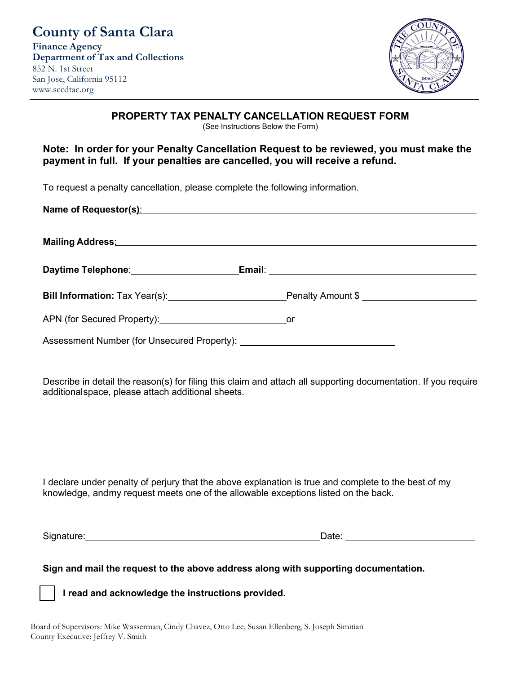

## **PROPERTY TAX PENALTY CANCELLATION REQUEST FORM**

(See Instructions Below the Form)

# **Note: In order for your Penalty Cancellation Request to be reviewed, you must make the payment in full. If your penalties are cancelled, you will receive a refund.**

To request a penalty cancellation, please complete the following information.

| Name of Requestor(s): Name of Requestor(s):                                                                     |                                                               |
|-----------------------------------------------------------------------------------------------------------------|---------------------------------------------------------------|
| Mailing Address: Mailing Address: Mailing Address: Mailing Address: Mailing Address: Mailing Address: Mailing A |                                                               |
| Daytime Telephone: 2008                                                                                         |                                                               |
|                                                                                                                 | Bill Information: Tax Year(s): Notified the Penalty Amount \$ |
|                                                                                                                 |                                                               |
|                                                                                                                 |                                                               |

Describe in detail the reason(s) for filing this claim and attach all supporting documentation. If you require additionalspace, please attach additional sheets.

I declare under penalty of perjury that the above explanation is true and complete to the best of my knowledge, andmy request meets one of the allowable exceptions listed on the back.

Signature: Date:

**Sign and mail the request to the above address along with supporting documentation.**

**I read and acknowledge the instructions provided.**